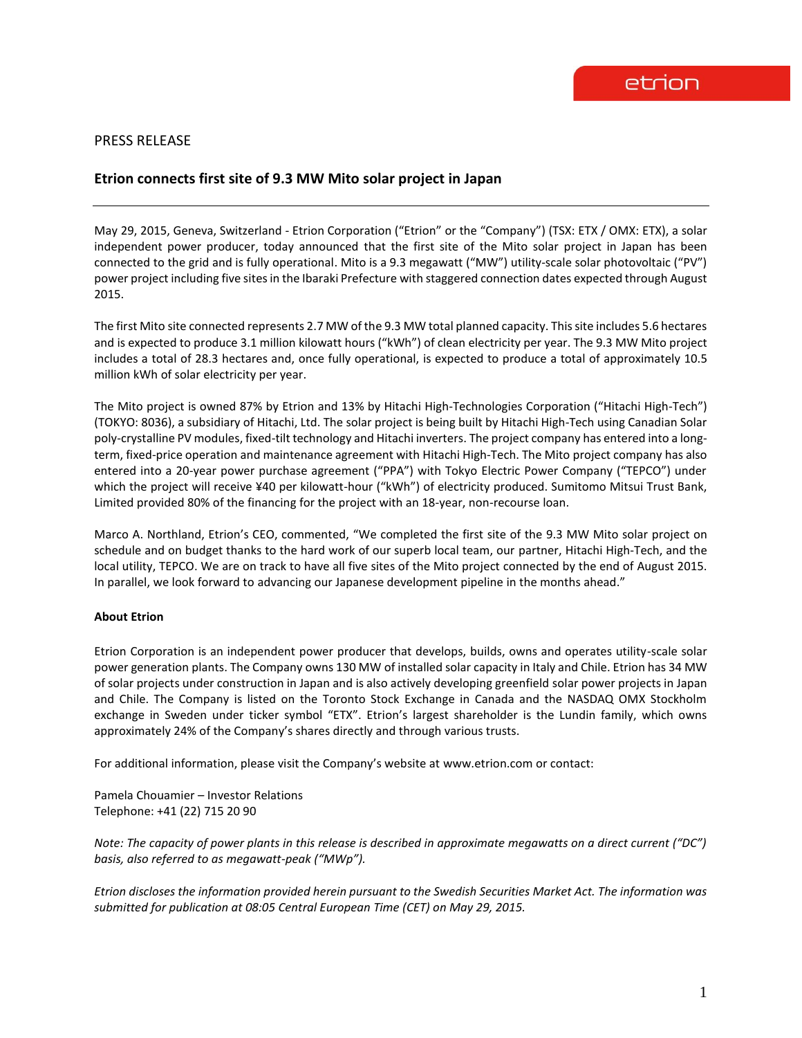## PRESS RELEASE

## **Etrion connects first site of 9.3 MW Mito solar project in Japan**

May 29, 2015, Geneva, Switzerland - Etrion Corporation ("Etrion" or the "Company") (TSX: ETX / OMX: ETX), a solar independent power producer, today announced that the first site of the Mito solar project in Japan has been connected to the grid and is fully operational. Mito is a 9.3 megawatt ("MW") utility-scale solar photovoltaic ("PV") power project including five sites in the Ibaraki Prefecture with staggered connection dates expected through August 2015.

The first Mito site connected represents 2.7 MW of the 9.3 MW total planned capacity. This site includes 5.6 hectares and is expected to produce 3.1 million kilowatt hours ("kWh") of clean electricity per year. The 9.3 MW Mito project includes a total of 28.3 hectares and, once fully operational, is expected to produce a total of approximately 10.5 million kWh of solar electricity per year.

The Mito project is owned 87% by Etrion and 13% by Hitachi High-Technologies Corporation ("Hitachi High-Tech") (TOKYO: 8036), a subsidiary of Hitachi, Ltd. The solar project is being built by Hitachi High-Tech using Canadian Solar poly-crystalline PV modules, fixed-tilt technology and Hitachi inverters. The project company has entered into a longterm, fixed-price operation and maintenance agreement with Hitachi High-Tech. The Mito project company has also entered into a 20-year power purchase agreement ("PPA") with Tokyo Electric Power Company ("TEPCO") under which the project will receive ¥40 per kilowatt-hour ("kWh") of electricity produced. Sumitomo Mitsui Trust Bank, Limited provided 80% of the financing for the project with an 18-year, non-recourse loan.

Marco A. Northland, Etrion's CEO, commented, "We completed the first site of the 9.3 MW Mito solar project on schedule and on budget thanks to the hard work of our superb local team, our partner, Hitachi High-Tech, and the local utility, TEPCO. We are on track to have all five sites of the Mito project connected by the end of August 2015. In parallel, we look forward to advancing our Japanese development pipeline in the months ahead."

## **About Etrion**

Etrion Corporation is an independent power producer that develops, builds, owns and operates utility-scale solar power generation plants. The Company owns 130 MW of installed solar capacity in Italy and Chile. Etrion has 34 MW of solar projects under construction in Japan and is also actively developing greenfield solar power projects in Japan and Chile. The Company is listed on the Toronto Stock Exchange in Canada and the NASDAQ OMX Stockholm exchange in Sweden under ticker symbol "ETX". Etrion's largest shareholder is the Lundin family, which owns approximately 24% of the Company's shares directly and through various trusts.

For additional information, please visit the Company's website at www.etrion.com or contact:

Pamela Chouamier – Investor Relations Telephone: +41 (22) 715 20 90

*Note: The capacity of power plants in this release is described in approximate megawatts on a direct current ("DC") basis, also referred to as megawatt-peak ("MWp").*

*Etrion discloses the information provided herein pursuant to the Swedish Securities Market Act. The information was submitted for publication at 08:05 Central European Time (CET) on May 29, 2015.*